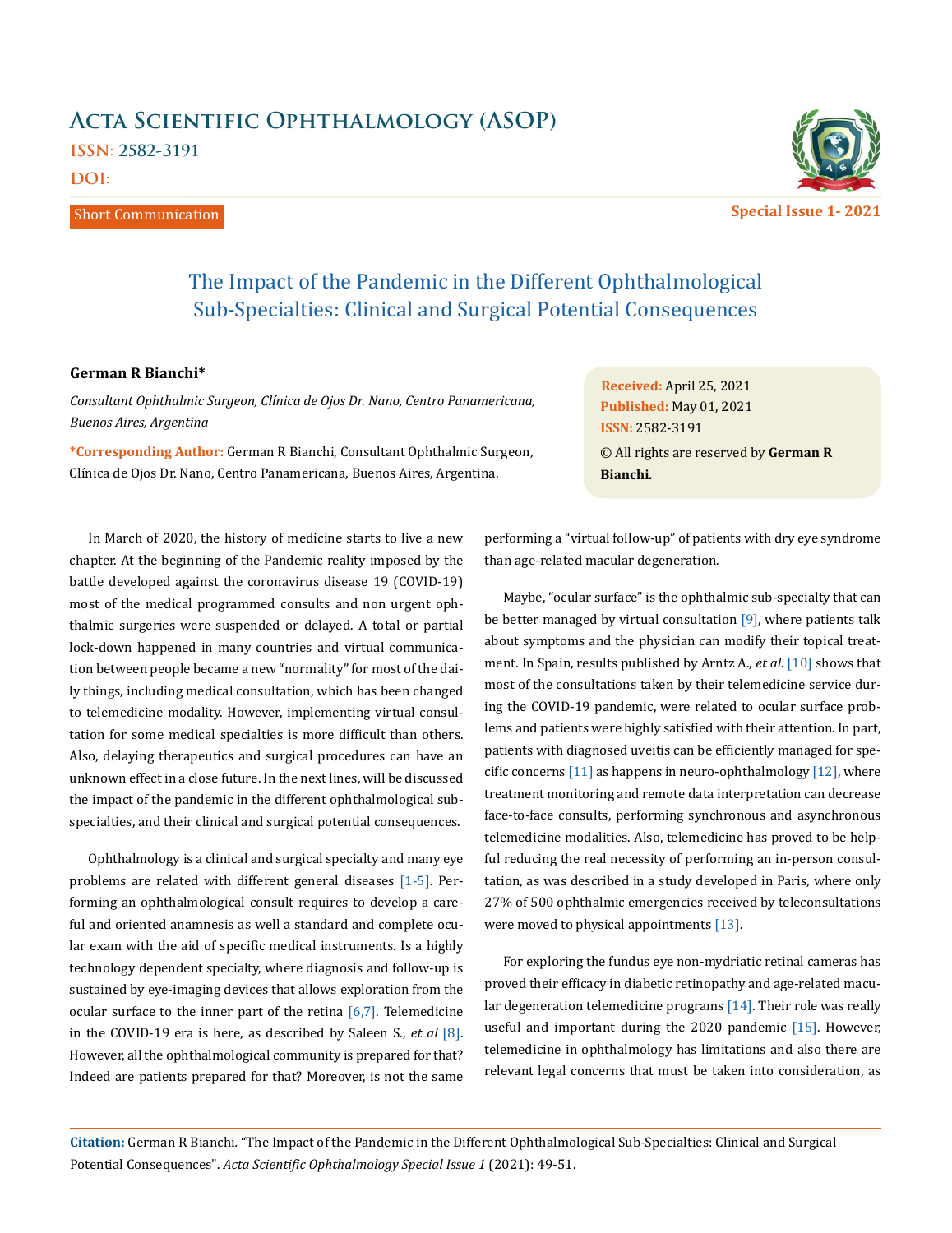# **Acta Scientific Ophthalmology (ASOP) ISSN: 2582-3191 DOI:**

Short Communication



**Special Issue 1- 2021**

# The Impact of the Pandemic in the Different Ophthalmological Sub-Specialties: Clinical and Surgical Potential Consequences

## **German R Bianchi\***

*Consultant Ophthalmic Surgeon, Clínica de Ojos Dr. Nano, Centro Panamericana, Buenos Aires, Argentina* 

**\*Corresponding Author:** German R Bianchi, Consultant Ophthalmic Surgeon, Clínica de Ojos Dr. Nano, Centro Panamericana, Buenos Aires, Argentina.

**Received:** April 25, 2021 **Published:** May 01, 2021 © All rights are reserved by **German R Bianchi***.* **ISSN:** 2582-3191

In March of 2020, the history of medicine starts to live a new chapter. At the beginning of the Pandemic reality imposed by the battle developed against the coronavirus disease 19 (COVID-19) most of the medical programmed consults and non urgent ophthalmic surgeries were suspended or delayed. A total or partial lock-down happened in many countries and virtual communication between people became a new "normality" for most of the daily things, including medical consultation, which has been changed to telemedicine modality. However, implementing virtual consultation for some medical specialties is more difficult than others. Also, delaying therapeutics and surgical procedures can have an unknown effect in a close future. In the next lines, will be discussed the impact of the pandemic in the different ophthalmological subspecialties, and their clinical and surgical potential consequences.

Ophthalmology is a clinical and surgical specialty and many eye problems are related with different general diseases [1-5]. Performing an ophthalmological consult requires to develop a careful and oriented anamnesis as well a standard and complete ocular exam with the aid of specific medical instruments. Is a highly technology dependent specialty, where diagnosis and follow-up is sustained by eye-imaging devices that allows exploration from the ocular surface to the inner part of the retina  $[6,7]$ . Telemedicine in the COVID-19 era is here, as described by Saleen S., *et al* [8]. However, all the ophthalmological community is prepared for that? Indeed are patients prepared for that? Moreover, is not the same

performing a "virtual follow-up" of patients with dry eye syndrome than age-related macular degeneration.

Maybe, "ocular surface" is the ophthalmic sub-specialty that can be better managed by virtual consultation [9], where patients talk about symptoms and the physician can modify their topical treatment. In Spain, results published by Arntz A., *et al*. [10] shows that most of the consultations taken by their telemedicine service during the COVID-19 pandemic, were related to ocular surface problems and patients were highly satisfied with their attention. In part, patients with diagnosed uveitis can be efficiently managed for specific concerns [11] as happens in neuro-ophthalmology [12], where treatment monitoring and remote data interpretation can decrease face-to-face consults, performing synchronous and asynchronous telemedicine modalities. Also, telemedicine has proved to be helpful reducing the real necessity of performing an in-person consultation, as was described in a study developed in Paris, where only 27% of 500 ophthalmic emergencies received by teleconsultations were moved to physical appointments [13].

For exploring the fundus eye non-mydriatic retinal cameras has proved their efficacy in diabetic retinopathy and age-related macular degeneration telemedicine programs [14]. Their role was really useful and important during the 2020 pandemic [15]. However, telemedicine in ophthalmology has limitations and also there are relevant legal concerns that must be taken into consideration, as

**Citation:** German R Bianchi*.* "The Impact of the Pandemic in the Different Ophthalmological Sub-Specialties: Clinical and Surgical Potential Consequences". *Acta Scientific Ophthalmology Special Issue 1* (2021): 49-51.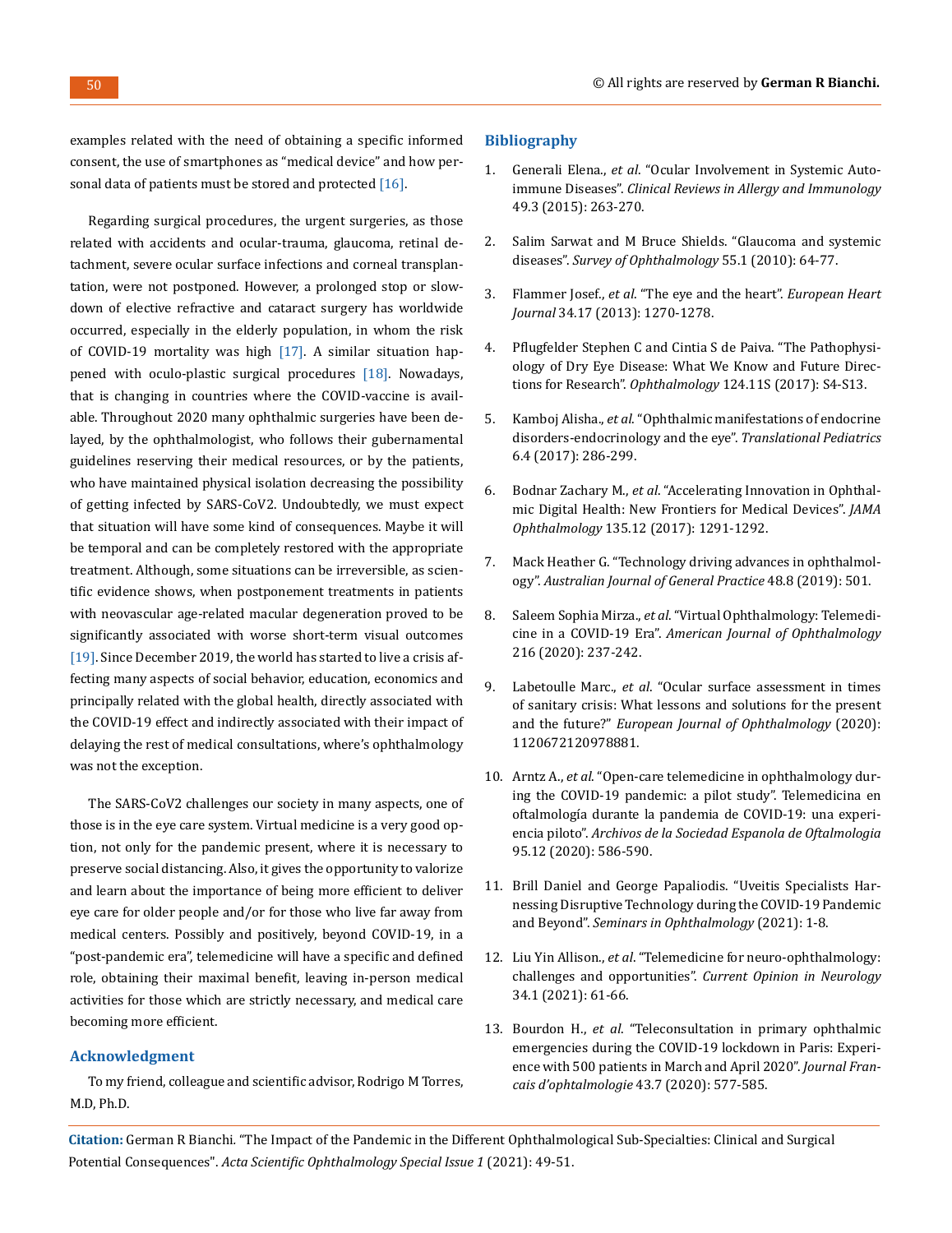examples related with the need of obtaining a specific informed consent, the use of smartphones as "medical device" and how personal data of patients must be stored and protected  $[16]$ .

Regarding surgical procedures, the urgent surgeries, as those related with accidents and ocular-trauma, glaucoma, retinal detachment, severe ocular surface infections and corneal transplantation, were not postponed. However, a prolonged stop or slowdown of elective refractive and cataract surgery has worldwide occurred, especially in the elderly population, in whom the risk of COVID-19 mortality was high [17]. A similar situation happened with oculo-plastic surgical procedures [18]. Nowadays, that is changing in countries where the COVID-vaccine is available. Throughout 2020 many ophthalmic surgeries have been delayed, by the ophthalmologist, who follows their gubernamental guidelines reserving their medical resources, or by the patients, who have maintained physical isolation decreasing the possibility of getting infected by SARS-CoV2. Undoubtedly, we must expect that situation will have some kind of consequences. Maybe it will be temporal and can be completely restored with the appropriate treatment. Although, some situations can be irreversible, as scientific evidence shows, when postponement treatments in patients with neovascular age-related macular degeneration proved to be significantly associated with worse short-term visual outcomes [19]. Since December 2019, the world has started to live a crisis affecting many aspects of social behavior, education, economics and principally related with the global health, directly associated with the COVID-19 effect and indirectly associated with their impact of delaying the rest of medical consultations, where's ophthalmology was not the exception.

The SARS-CoV2 challenges our society in many aspects, one of those is in the eye care system. Virtual medicine is a very good option, not only for the pandemic present, where it is necessary to preserve social distancing. Also, it gives the opportunity to valorize and learn about the importance of being more efficient to deliver eye care for older people and/or for those who live far away from medical centers. Possibly and positively, beyond COVID-19, in a "post-pandemic era", telemedicine will have a specific and defined role, obtaining their maximal benefit, leaving in-person medical activities for those which are strictly necessary, and medical care becoming more efficient.

## **Acknowledgment**

To my friend, colleague and scientific advisor, Rodrigo M Torres, M.D, Ph.D.

#### **Bibliography**

- 1. Generali Elena., *et al*[. "Ocular Involvement in Systemic Auto](https://pubmed.ncbi.nlm.nih.gov/26494481/)immune Diseases". *[Clinical Reviews in Allergy and Immunology](https://pubmed.ncbi.nlm.nih.gov/26494481/)* [49.3 \(2015\): 263-270.](https://pubmed.ncbi.nlm.nih.gov/26494481/)
- 2. [Salim Sarwat and M Bruce Shields. "Glaucoma and systemic](https://pubmed.ncbi.nlm.nih.gov/19833365/)  diseases". *[Survey of Ophthalmology](https://pubmed.ncbi.nlm.nih.gov/19833365/)* 55.1 (2010): 64-77.
- 3. Flammer Josef., *et al*[. "The eye and the heart".](https://www.ncbi.nlm.nih.gov/pmc/articles/PMC3640200/) *European Heart Journal* [34.17 \(2013\): 1270-1278.](https://www.ncbi.nlm.nih.gov/pmc/articles/PMC3640200/)
- 4. [Pflugfelder Stephen C and Cintia S de Paiva. "The Pathophysi](https://pubmed.ncbi.nlm.nih.gov/29055361/)[ology of Dry Eye Disease: What We Know and Future Direc](https://pubmed.ncbi.nlm.nih.gov/29055361/)tions for Research". *Ophthalmology* [124.11S \(2017\): S4-S13.](https://pubmed.ncbi.nlm.nih.gov/29055361/)
- 5. Kamboj Alisha., *et al*[. "Ophthalmic manifestations of endocrine](https://pubmed.ncbi.nlm.nih.gov/29184810/)  [disorders-endocrinology and the eye".](https://pubmed.ncbi.nlm.nih.gov/29184810/) *Translational Pediatrics* [6.4 \(2017\): 286-299.](https://pubmed.ncbi.nlm.nih.gov/29184810/)
- 6. Bodnar Zachary M., *et al*[. "Accelerating Innovation in Ophthal](https://pubmed.ncbi.nlm.nih.gov/29075778/)[mic Digital Health: New Frontiers for Medical Devices".](https://pubmed.ncbi.nlm.nih.gov/29075778/) *JAMA Ophthalmology* [135.12 \(2017\): 1291-1292.](https://pubmed.ncbi.nlm.nih.gov/29075778/)
- 7. [Mack Heather G. "Technology driving advances in ophthalmol](https://www1.racgp.org.au/ajgp/2019/august/technology-driving-advances-in-ophthalmology)ogy". *[Australian Journal of General Practice](https://www1.racgp.org.au/ajgp/2019/august/technology-driving-advances-in-ophthalmology)* 48.8 (2019): 501.
- 8. Saleem Sophia Mirza., *et al*[. "Virtual Ophthalmology: Telemedi](https://pubmed.ncbi.nlm.nih.gov/32360862/)cine in a COVID-19 Era". *[American Journal of Ophthalmology](https://pubmed.ncbi.nlm.nih.gov/32360862/)* [216 \(2020\): 237-242.](https://pubmed.ncbi.nlm.nih.gov/32360862/)
- 9. Labetoulle Marc., *et al*[. "Ocular surface assessment in times](https://journals.sagepub.com/doi/full/10.1177/1120672120978881)  [of sanitary crisis: What lessons and solutions for the present](https://journals.sagepub.com/doi/full/10.1177/1120672120978881)  and the future?" *[European Journal of Ophthalmology](https://journals.sagepub.com/doi/full/10.1177/1120672120978881)* (2020): [1120672120978881.](https://journals.sagepub.com/doi/full/10.1177/1120672120978881)
- 10. Arntz A., *et al*[. "Open-care telemedicine in ophthalmology dur](https://pubmed.ncbi.nlm.nih.gov/33160746/)[ing the COVID-19 pandemic: a pilot study". Telemedicina en](https://pubmed.ncbi.nlm.nih.gov/33160746/)  [oftalmología durante la pandemia de COVID-19: una experi](https://pubmed.ncbi.nlm.nih.gov/33160746/)encia piloto". *[Archivos de la Sociedad Espanola de Oftalmologia](https://pubmed.ncbi.nlm.nih.gov/33160746/)*  [95.12 \(2020\): 586-590.](https://pubmed.ncbi.nlm.nih.gov/33160746/)
- 11. [Brill Daniel and George Papaliodis. "Uveitis Specialists Har](https://pubmed.ncbi.nlm.nih.gov/33755525/)[nessing Disruptive Technology during the COVID-19 Pandemic](https://pubmed.ncbi.nlm.nih.gov/33755525/)  and Beyond". *[Seminars in Ophthalmology](https://pubmed.ncbi.nlm.nih.gov/33755525/)* (2021): 1-8.
- 12. Liu Yin Allison., *et al*[. "Telemedicine for neuro-ophthalmology:](https://journals.lww.com/co-neurology/Citation/2021/02000/Telemedicine_for_neuro_ophthalmology__challenges.11.aspx)  challenges and opportunities". *[Current Opinion in Neurology](https://journals.lww.com/co-neurology/Citation/2021/02000/Telemedicine_for_neuro_ophthalmology__challenges.11.aspx)*  [34.1 \(2021\): 61-66.](https://journals.lww.com/co-neurology/Citation/2021/02000/Telemedicine_for_neuro_ophthalmology__challenges.11.aspx)
- 13. Bourdon H., *et al*[. "Teleconsultation in primary ophthalmic](https://www.sciencedirect.com/science/article/abs/pii/S0181551220302497)  [emergencies during the COVID-19 lockdown in Paris: Experi](https://www.sciencedirect.com/science/article/abs/pii/S0181551220302497)[ence with 500 patients in March and April 2020".](https://www.sciencedirect.com/science/article/abs/pii/S0181551220302497) *Journal Fran[cais d'ophtalmologie](https://www.sciencedirect.com/science/article/abs/pii/S0181551220302497)* 43.7 (2020): 577-585.

**Citation:** German R Bianchi*.* "The Impact of the Pandemic in the Different Ophthalmological Sub-Specialties: Clinical and Surgical Potential Consequences". *Acta Scientific Ophthalmology Special Issue 1* (2021): 49-51.